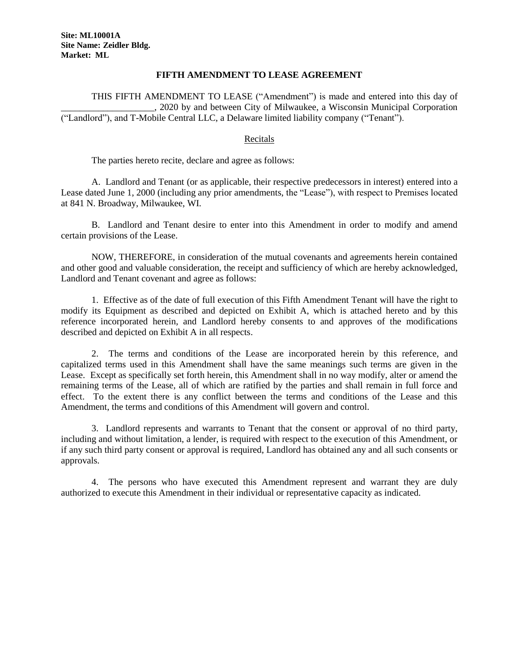## **FIFTH AMENDMENT TO LEASE AGREEMENT**

THIS FIFTH AMENDMENT TO LEASE ("Amendment") is made and entered into this day of \_\_\_\_\_\_\_\_\_\_\_\_\_\_\_\_\_\_\_\_, 2020 by and between City of Milwaukee, a Wisconsin Municipal Corporation ("Landlord"), and T-Mobile Central LLC, a Delaware limited liability company ("Tenant").

## Recitals

The parties hereto recite, declare and agree as follows:

A. Landlord and Tenant (or as applicable, their respective predecessors in interest) entered into a Lease dated June 1, 2000 (including any prior amendments, the "Lease"), with respect to Premises located at 841 N. Broadway, Milwaukee, WI.

B. Landlord and Tenant desire to enter into this Amendment in order to modify and amend certain provisions of the Lease.

NOW, THEREFORE, in consideration of the mutual covenants and agreements herein contained and other good and valuable consideration, the receipt and sufficiency of which are hereby acknowledged, Landlord and Tenant covenant and agree as follows:

1. Effective as of the date of full execution of this Fifth Amendment Tenant will have the right to modify its Equipment as described and depicted on Exhibit A, which is attached hereto and by this reference incorporated herein, and Landlord hereby consents to and approves of the modifications described and depicted on Exhibit A in all respects.

2.The terms and conditions of the Lease are incorporated herein by this reference, and capitalized terms used in this Amendment shall have the same meanings such terms are given in the Lease. Except as specifically set forth herein, this Amendment shall in no way modify, alter or amend the remaining terms of the Lease, all of which are ratified by the parties and shall remain in full force and effect. To the extent there is any conflict between the terms and conditions of the Lease and this Amendment, the terms and conditions of this Amendment will govern and control.

3. Landlord represents and warrants to Tenant that the consent or approval of no third party, including and without limitation, a lender, is required with respect to the execution of this Amendment, or if any such third party consent or approval is required, Landlord has obtained any and all such consents or approvals.

4. The persons who have executed this Amendment represent and warrant they are duly authorized to execute this Amendment in their individual or representative capacity as indicated.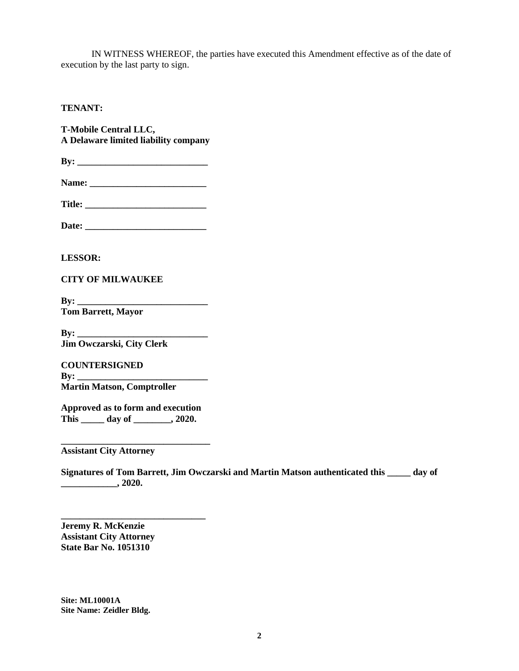IN WITNESS WHEREOF, the parties have executed this Amendment effective as of the date of execution by the last party to sign.

## **TENANT:**

**T-Mobile Central LLC, A Delaware limited liability company**

**By: \_\_\_\_\_\_\_\_\_\_\_\_\_\_\_\_\_\_\_\_\_\_\_\_\_\_\_\_**

**Title: \_\_\_\_\_\_\_\_\_\_\_\_\_\_\_\_\_\_\_\_\_\_\_\_\_\_**

**Date: \_\_\_\_\_\_\_\_\_\_\_\_\_\_\_\_\_\_\_\_\_\_\_\_\_\_**

**LESSOR:**

**CITY OF MILWAUKEE**

**By: Tom Barrett, Mayor**

**By: Jim Owczarski, City Clerk**

**COUNTERSIGNED By: Martin Matson, Comptroller**

**Approved as to form and execution This \_\_\_\_\_ day of \_\_\_\_\_\_\_\_, 2020.**

**\_\_\_\_\_\_\_\_\_\_\_\_\_\_\_\_\_\_\_\_\_\_\_\_\_\_\_\_\_\_\_\_**

**\_\_\_\_\_\_\_\_\_\_\_\_\_\_\_\_\_\_\_\_\_\_\_\_\_\_\_\_\_\_\_**

**Assistant City Attorney**

**Signatures of Tom Barrett, Jim Owczarski and Martin Matson authenticated this \_\_\_\_\_ day of \_\_\_\_\_\_\_\_\_\_\_\_, 2020.**

**Jeremy R. McKenzie Assistant City Attorney State Bar No. 1051310**

**Site: ML10001A Site Name: Zeidler Bldg.**